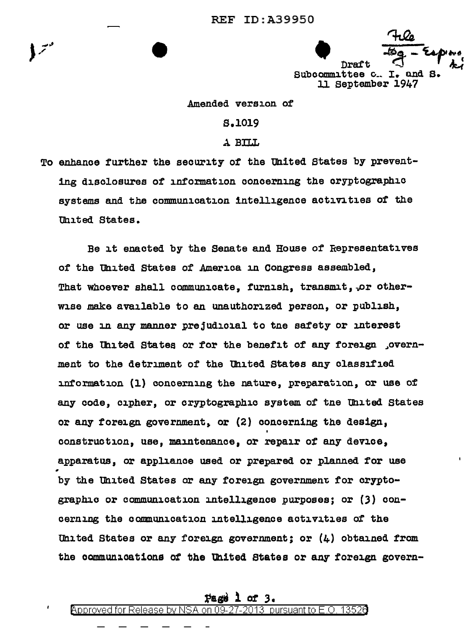$\frac{4u}{7}$  - Espace Draft  $\begin{bmatrix} \text{Subcommities} & \text{Subcommutes} \\ \text{Subcommities} & \text{Subcommutes} \end{bmatrix}$ 11 September 1947

## Amended version of

## s.1019

## ..\. BILL

To enhance further the security of the United States by preventing disclosures of information concerning the cryptographic systems and the communication intelligence activities of the United States.

Be it enacted by the Senate and House of Representatives of the United States of America in Congress assembled, That whoever shall communicate, furnish, transmit, or otherwise make available to an unauthorized person, or publish, or use in any manner prejudicial to tne safety or interest of the United States or for the benefit of any foreign , overnment to the detriment of the Uhited States any classified information (1) concerning the nature, preparation, or use of any code, cipher, or cryptographic system of tne Uhited states or any foreign government, or (2) concerning the design, construction, use, maintenance, or repair *ot* any device, apparatus, or appliance used or prepared or planned for use by the United States or any foreign government for cryptographic or communication intelligence purposes; or (3) concerning the communication intelligence activities of the United States or any foreign government; or  $(4)$  obtained from the communications of the United States or any foreign govern-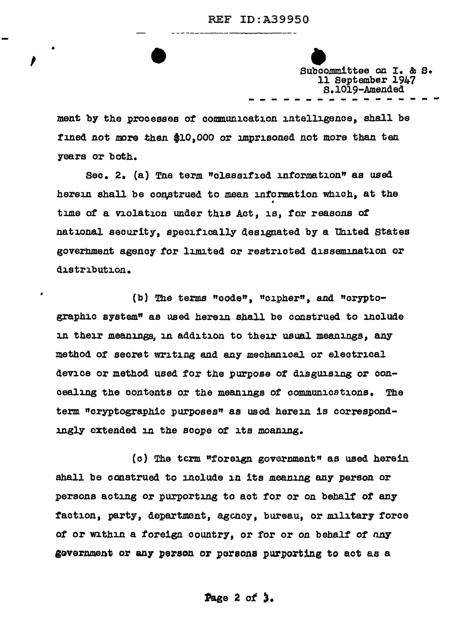Subcommittee on I. & S. 11 September 1947 S.1019-Amended<br>
----------------

ment by the processes of communication intelligence, shall be fined not more than \$10,000 or imprisoned not more than ten years or both.

•

 $\mathbf{v} = \begin{bmatrix} 1 & 1 \\ 1 & 1 \end{bmatrix}$ 

Sec.  $2. (a)$  The term "olassified information" as used herein shall be construed to mean information which, at the • time of a violation under this Act, is, for reasons of national security, specifically designated by a Uhited states goverhment agency for limited or restricted dissemination or distribution.

(b) The terms "code", "cipher", and "cryptographic system" as used herein shall be construed to include in their meanings, in addition to their usual meanings, any method of secret writing and any mechanical or electrical device or method used for the purpose of disguising or concealing the contents or the meanings of communications. The term "cryptographic purposes" as used herein is correspondingly extended in the scope of its moaning.

(o) The term "foreign government" as used herein shall be construed to include in its meaning any person or persons acting or purporting to act for or on behalf of any faction, party, department, agency, bureau, or military force of or within a foreign country, or for or on behalf of any gevernment or any person or persons purporting to act as a